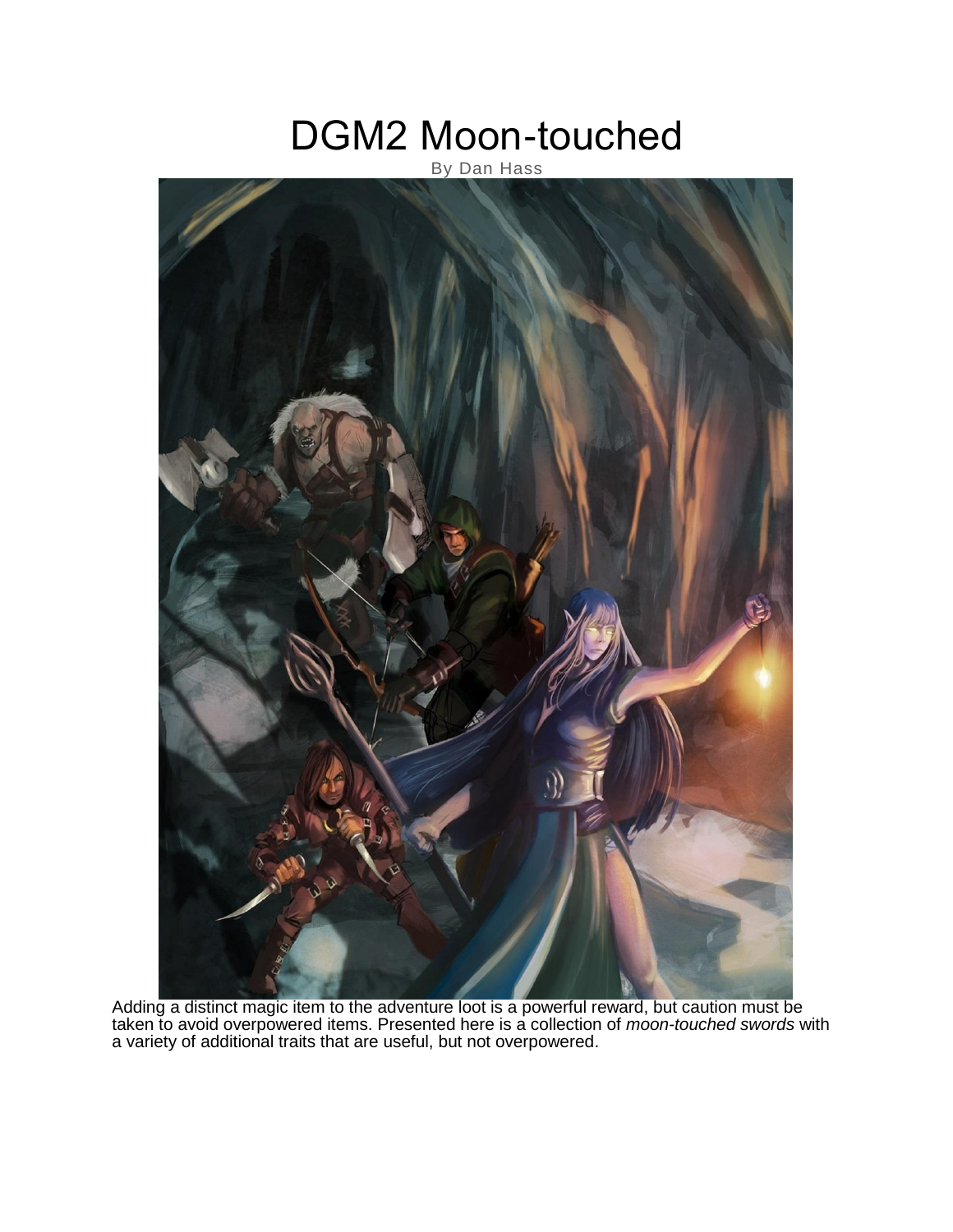# DGM2 Moon-touched

# By Dan Hass



Adding a distinct magic item to the adventure loot is a powerful reward, but caution must be taken to avoid overpowered items. Presented here is a collection of *moon-touched swords* with a variety of additional traits that are useful, but not overpowered.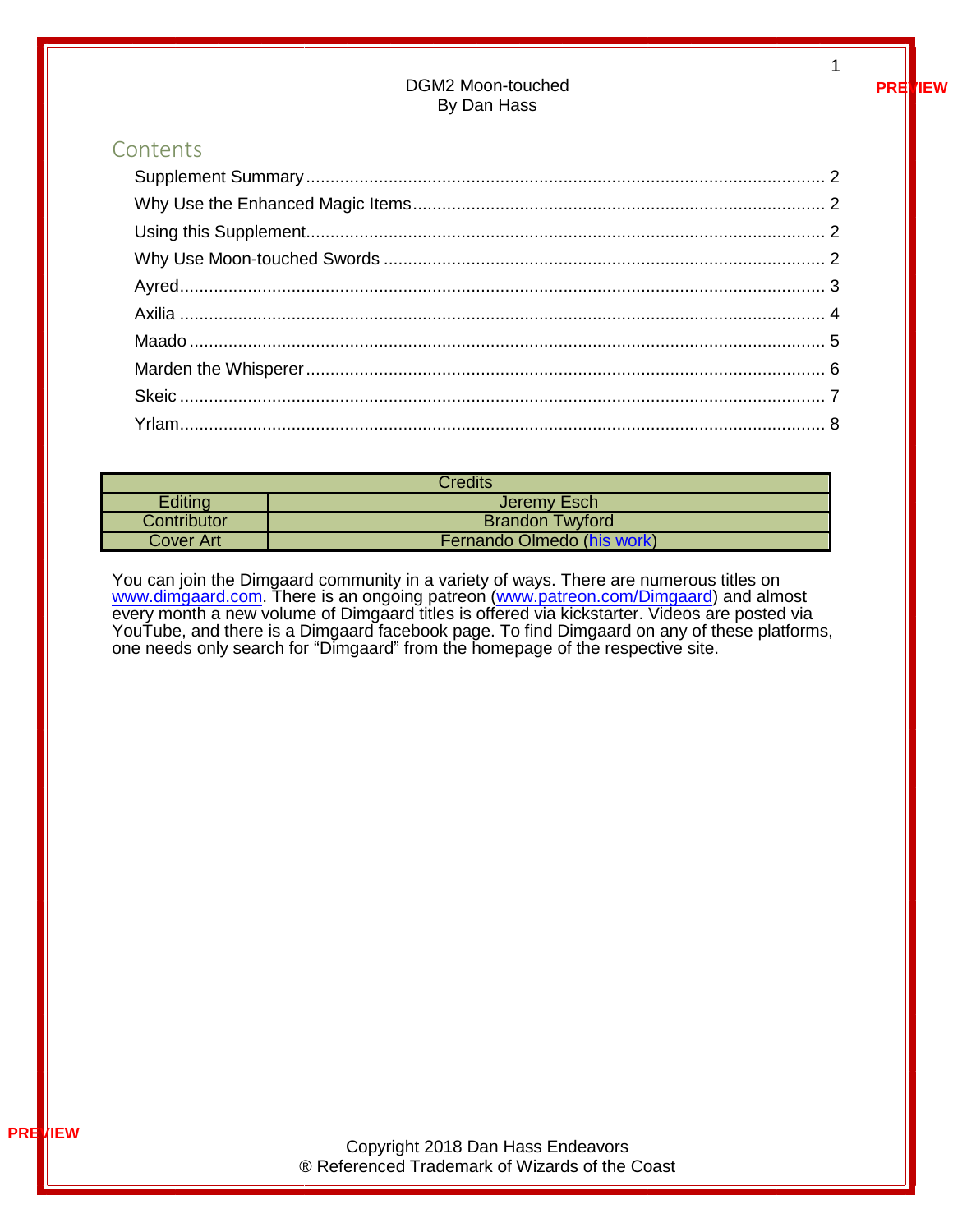#### DGM2 Moon-touched By Dan Hass

#### Contents

| <b>Credits</b> |                            |  |
|----------------|----------------------------|--|
| Editing        | Jeremy Esch                |  |
| Contributor    | <b>Brandon Twyford</b>     |  |
| Cover Art      | Fernando Olmedo (his work) |  |

You can join the Dimgaard community in a variety of ways. There are numerous titles on [www.dimgaard.com.](http://www.dimgaard.com/) There is an ongoing patreon [\(www.patreon.com/Dimgaard\)](http://www.patreon.com/Dimgaard) and almost every month a new volume of Dimgaard titles is offered via kickstarter. Videos are posted via YouTube, and there is a Dimgaard facebook page. To find Dimgaard on any of these platforms, one needs only search for "Dimgaard" from the homepage of the respective site.

**PREVIEW**

1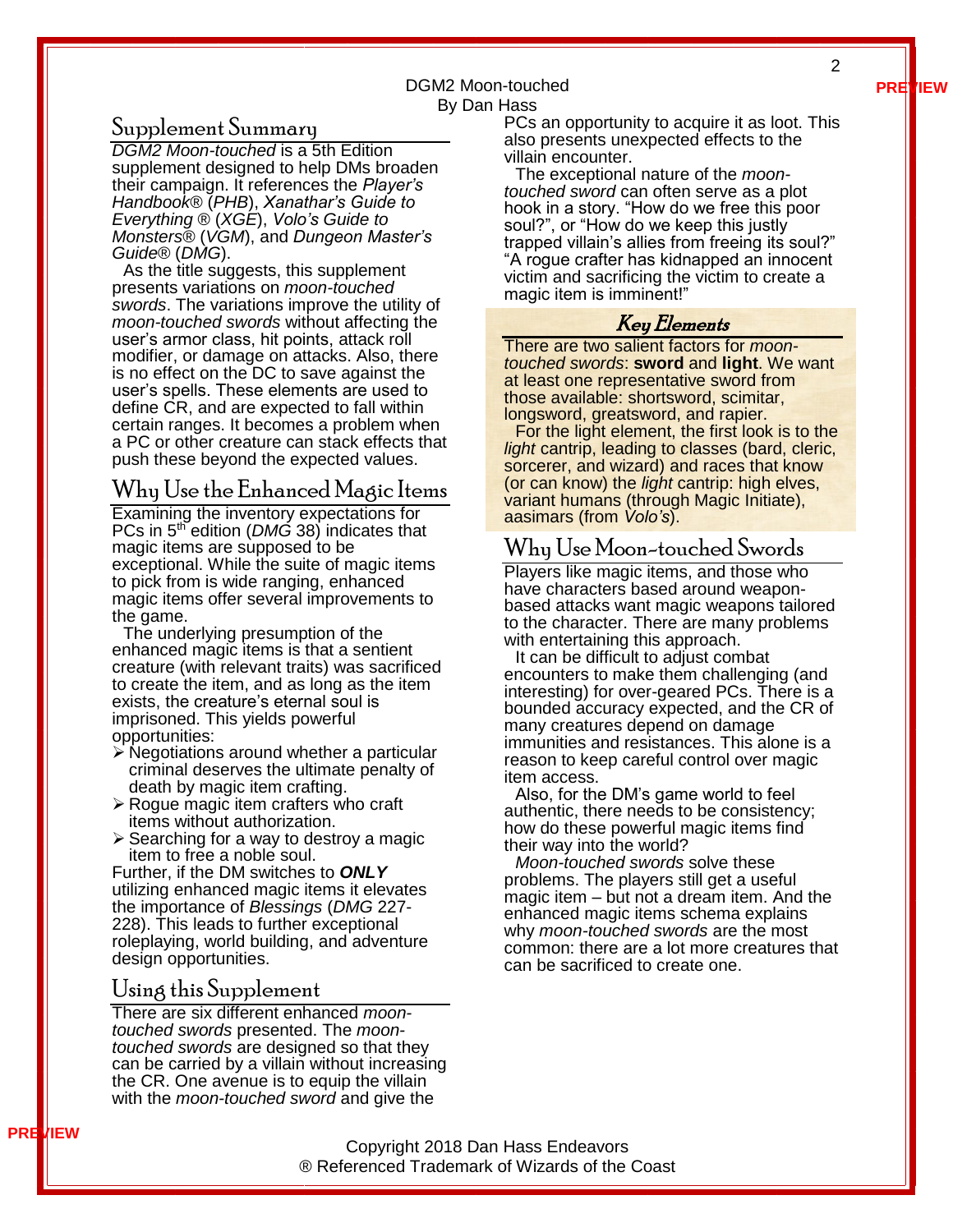**PREVIEW**

#### DGM2 Moon-touched By Dan Hass

### <span id="page-2-0"></span>Supplement Summary

*DGM2 Moon-touched* is a 5th Edition supplement designed to help DMs broaden their campaign. It references the *Player's Handbook®* (*PHB*), *Xanathar's Guide to Everything* ® (*XGE*), *Volo's Guide to Monsters®* (*VGM*), and *Dungeon Master's Guide®* (*DMG*).

As the title suggests, this supplement presents variations on *moon-touched swords*. The variations improve the utility of *moon-touched swords* without affecting the user's armor class, hit points, attack roll modifier, or damage on attacks. Also, there is no effect on the DC to save against the user's spells. These elements are used to define CR, and are expected to fall within certain ranges. It becomes a problem when a PC or other creature can stack effects that push these beyond the expected values.

## <span id="page-2-1"></span>Why Use the Enhanced Magic Items

Examining the inventory expectations for PCs in 5<sup>th</sup> edition (*DMG* 38) indicates that magic items are supposed to be exceptional. While the suite of magic items to pick from is wide ranging, enhanced magic items offer several improvements to the game.

The underlying presumption of the enhanced magic items is that a sentient creature (with relevant traits) was sacrificed to create the item, and as long as the item exists, the creature's eternal soul is imprisoned. This yields powerful opportunities:

- ➢ Negotiations around whether a particular criminal deserves the ultimate penalty of death by magic item crafting.
- ➢ Rogue magic item crafters who craft items without authorization.
- ➢ Searching for a way to destroy a magic item to free a noble soul.

Further, if the DM switches to *ONLY* utilizing enhanced magic items it elevates the importance of *Blessings* (*DMG* 227- 228). This leads to further exceptional roleplaying, world building, and adventure design opportunities.

#### <span id="page-2-2"></span>Using this Supplement

**PREVIEW**

There are six different enhanced *moontouched swords* presented. The *moontouched swords* are designed so that they can be carried by a villain without increasing the CR. One avenue is to equip the villain with the *moon-touched sword* and give the

PCs an opportunity to acquire it as loot. This also presents unexpected effects to the villain encounter.

The exceptional nature of the *moontouched sword* can often serve as a plot hook in a story. "How do we free this poor soul?", or "How do we keep this justly trapped villain's allies from freeing its soul?" "A rogue crafter has kidnapped an innocent victim and sacrificing the victim to create a magic item is imminent!"

### Key Elements

There are two salient factors for *moontouched swords*: **sword** and **light**. We want at least one representative sword from those available: shortsword, scimitar, longsword, greatsword, and rapier.

For the light element, the first look is to the *light* cantrip, leading to classes (bard, cleric, sorcerer, and wizard) and races that know (or can know) the *light* cantrip: high elves, variant humans (through Magic Initiate), aasimars (from *Volo's*).

# <span id="page-2-3"></span>Why Use Moon-touched Swords

Players like magic items, and those who have characters based around weaponbased attacks want magic weapons tailored to the character. There are many problems with entertaining this approach.

It can be difficult to adjust combat encounters to make them challenging (and interesting) for over-geared PCs. There is a bounded accuracy expected, and the CR of many creatures depend on damage immunities and resistances. This alone is a reason to keep careful control over magic item access.

Also, for the DM's game world to feel authentic, there needs to be consistency; how do these powerful magic items find their way into the world?

*Moon-touched swords* solve these problems. The players still get a useful magic item – but not a dream item. And the enhanced magic items schema explains why *moon-touched swords* are the most common: there are a lot more creatures that can be sacrificed to create one.

Copyright 2018 Dan Hass Endeavors ® Referenced Trademark of Wizards of the Coast